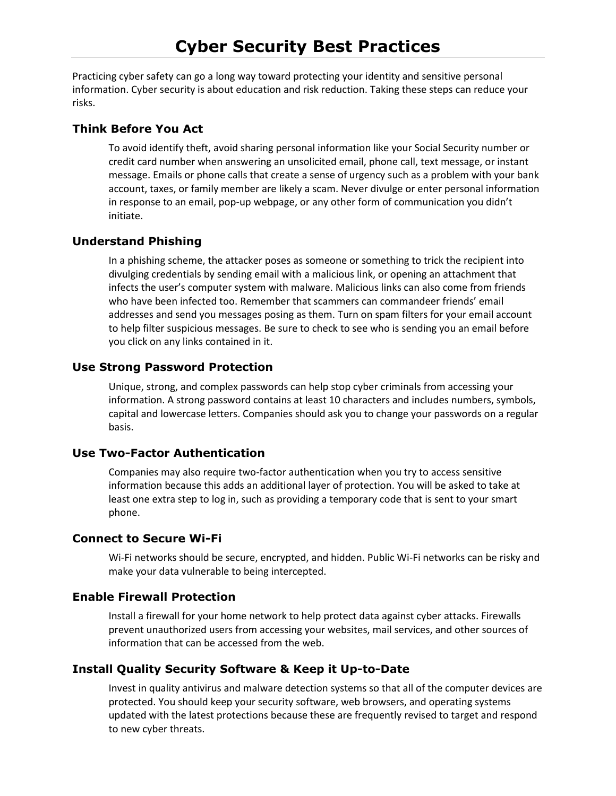Practicing cyber safety can go a long way toward protecting your identity and sensitive personal information. Cyber security is about education and risk reduction. Taking these steps can reduce your risks.

## **Think Before You Act**

To avoid identify theft, avoid sharing personal information like your Social Security number or credit card number when answering an unsolicited email, phone call, text message, or instant message. Emails or phone calls that create a sense of urgency such as a problem with your bank account, taxes, or family member are likely a scam. Never divulge or enter personal information in response to an email, pop-up webpage, or any other form of communication you didn't initiate.

## **Understand Phishing**

In a phishing scheme, the attacker poses as someone or something to trick the recipient into divulging credentials by sending email with a malicious link, or opening an attachment that infects the user's computer system with malware. Malicious links can also come from friends who have been infected too. Remember that scammers can commandeer friends' email addresses and send you messages posing as them. Turn on spam filters for your email account to help filter suspicious messages. Be sure to check to see who is sending you an email before you click on any links contained in it.

## **Use Strong Password Protection**

Unique, strong, and complex passwords can help stop cyber criminals from accessing your information. A strong password contains at least 10 characters and includes numbers, symbols, capital and lowercase letters. Companies should ask you to change your passwords on a regular basis.

## **Use Two-Factor Authentication**

Companies may also require two-factor authentication when you try to access sensitive information because this adds an additional layer of protection. You will be asked to take at least one extra step to log in, such as providing a temporary code that is sent to your smart phone.

# **Connect to Secure Wi-Fi**

Wi-Fi networks should be secure, encrypted, and hidden. Public Wi-Fi networks can be risky and make your data vulnerable to being intercepted.

## **Enable Firewall Protection**

Install a firewall for your home network to help protect data against cyber attacks. Firewalls prevent unauthorized users from accessing your websites, mail services, and other sources of information that can be accessed from the web.

# **Install Quality Security Software & Keep it Up-to-Date**

Invest in quality antivirus and malware detection systems so that all of the computer devices are protected. You should keep your security software, web browsers, and operating systems updated with the latest protections because these are frequently revised to target and respond to new cyber threats.